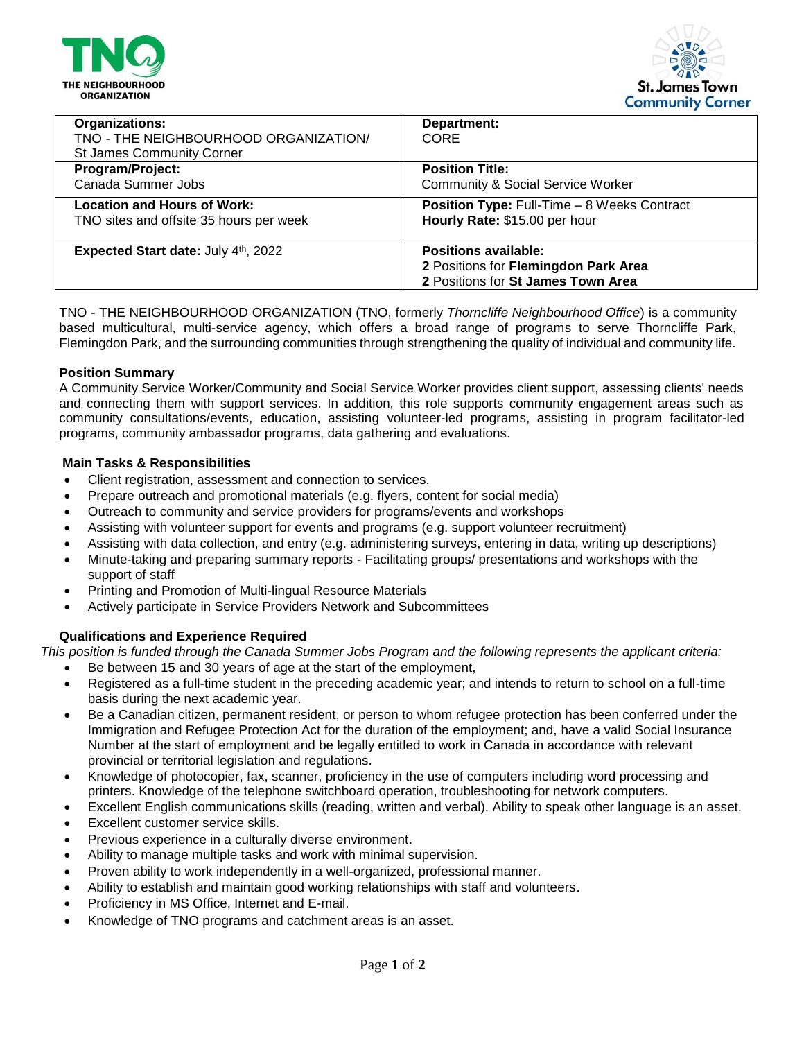



| Organizations:<br>TNO - THE NEIGHBOURHOOD ORGANIZATION/<br><b>St James Community Corner</b> | Department:<br>CORE                                |
|---------------------------------------------------------------------------------------------|----------------------------------------------------|
| Program/Project:                                                                            | <b>Position Title:</b>                             |
| Canada Summer Jobs                                                                          | <b>Community &amp; Social Service Worker</b>       |
| <b>Location and Hours of Work:</b>                                                          | <b>Position Type: Full-Time - 8 Weeks Contract</b> |
| TNO sites and offsite 35 hours per week                                                     | Hourly Rate: \$15.00 per hour                      |
| Expected Start date: July 4th, 2022                                                         | <b>Positions available:</b>                        |
|                                                                                             | 2 Positions for Flemingdon Park Area               |
|                                                                                             | 2 Positions for St James Town Area                 |

TNO - THE NEIGHBOURHOOD ORGANIZATION (TNO, formerly *Thorncliffe Neighbourhood Office*) is a community based multicultural, multi-service agency, which offers a broad range of programs to serve Thorncliffe Park, Flemingdon Park, and the surrounding communities through strengthening the quality of individual and community life.

### **Position Summary**

A Community Service Worker/Community and Social Service Worker provides client support, assessing clients' needs and connecting them with support services. In addition, this role supports community engagement areas such as community consultations/events, education, assisting volunteer-led programs, assisting in program facilitator-led programs, community ambassador programs, data gathering and evaluations.

### **Main Tasks & Responsibilities**

- Client registration, assessment and connection to services.
- Prepare outreach and promotional materials (e.g. flyers, content for social media)
- Outreach to community and service providers for programs/events and workshops
- Assisting with volunteer support for events and programs (e.g. support volunteer recruitment)
- Assisting with data collection, and entry (e.g. administering surveys, entering in data, writing up descriptions)
- Minute-taking and preparing summary reports Facilitating groups/ presentations and workshops with the support of staff
- Printing and Promotion of Multi-lingual Resource Materials
- Actively participate in Service Providers Network and Subcommittees

# **Qualifications and Experience Required**

*This position is funded through the Canada Summer Jobs Program and the following represents the applicant criteria:*

- Be between 15 and 30 years of age at the start of the employment,
- Registered as a full-time student in the preceding academic year; and intends to return to school on a full-time basis during the next academic year.
- Be a Canadian citizen, permanent resident, or person to whom refugee protection has been conferred under the Immigration and Refugee Protection Act for the duration of the employment; and, have a valid Social Insurance Number at the start of employment and be legally entitled to work in Canada in accordance with relevant provincial or territorial legislation and regulations.
- Knowledge of photocopier, fax, scanner, proficiency in the use of computers including word processing and printers. Knowledge of the telephone switchboard operation, troubleshooting for network computers.
- Excellent English communications skills (reading, written and verbal). Ability to speak other language is an asset.
- Excellent customer service skills.
- Previous experience in a culturally diverse environment.
- Ability to manage multiple tasks and work with minimal supervision.
- Proven ability to work independently in a well-organized, professional manner.
- Ability to establish and maintain good working relationships with staff and volunteers.
- Proficiency in MS Office, Internet and E-mail.
- Knowledge of TNO programs and catchment areas is an asset.